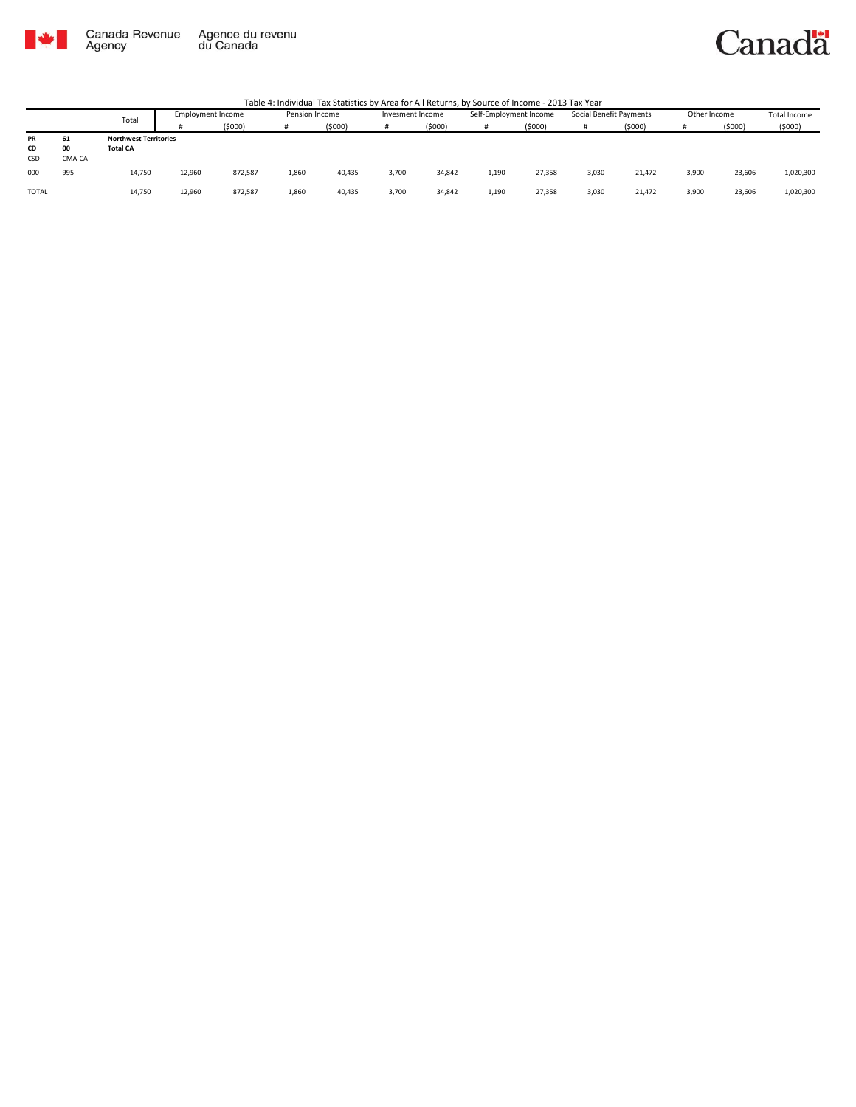

Canada Revenue<br>Agency Agence du revenu<br>du Canada

## Canadä

|           |        | Total                        | Employment Income |         | Pension Income |        | Invesment Income |         | Self-Employment Income |        | Social Benefit Payments |         | Other Income |        | Total Income |
|-----------|--------|------------------------------|-------------------|---------|----------------|--------|------------------|---------|------------------------|--------|-------------------------|---------|--------------|--------|--------------|
|           |        |                              |                   | (5000)  |                | (5000) |                  | (\$000) |                        | (5000) |                         | (\$000) |              | (5000) | (5000)       |
| <b>PR</b> | 61     | <b>Northwest Territories</b> |                   |         |                |        |                  |         |                        |        |                         |         |              |        |              |
| CD        | 00     | <b>Total CA</b>              |                   |         |                |        |                  |         |                        |        |                         |         |              |        |              |
| CSD       | CMA-CA |                              |                   |         |                |        |                  |         |                        |        |                         |         |              |        |              |
| 000       | 995    | 14,750                       | 12,960            | 872,587 | 1,860          | 40,435 | 3.700            | 34,842  | 1,190                  | 27,358 | 3,030                   | 21,472  | 3.900        | 23,606 | 1,020,300    |
| TOTAL     |        | 14,750                       | 12,960            | 872,587 | 1,860          | 40,435 | 3,700            | 34,842  | 1,190                  | 27,358 | 3,030                   | 21,472  | 3,900        | 23,606 | 1,020,300    |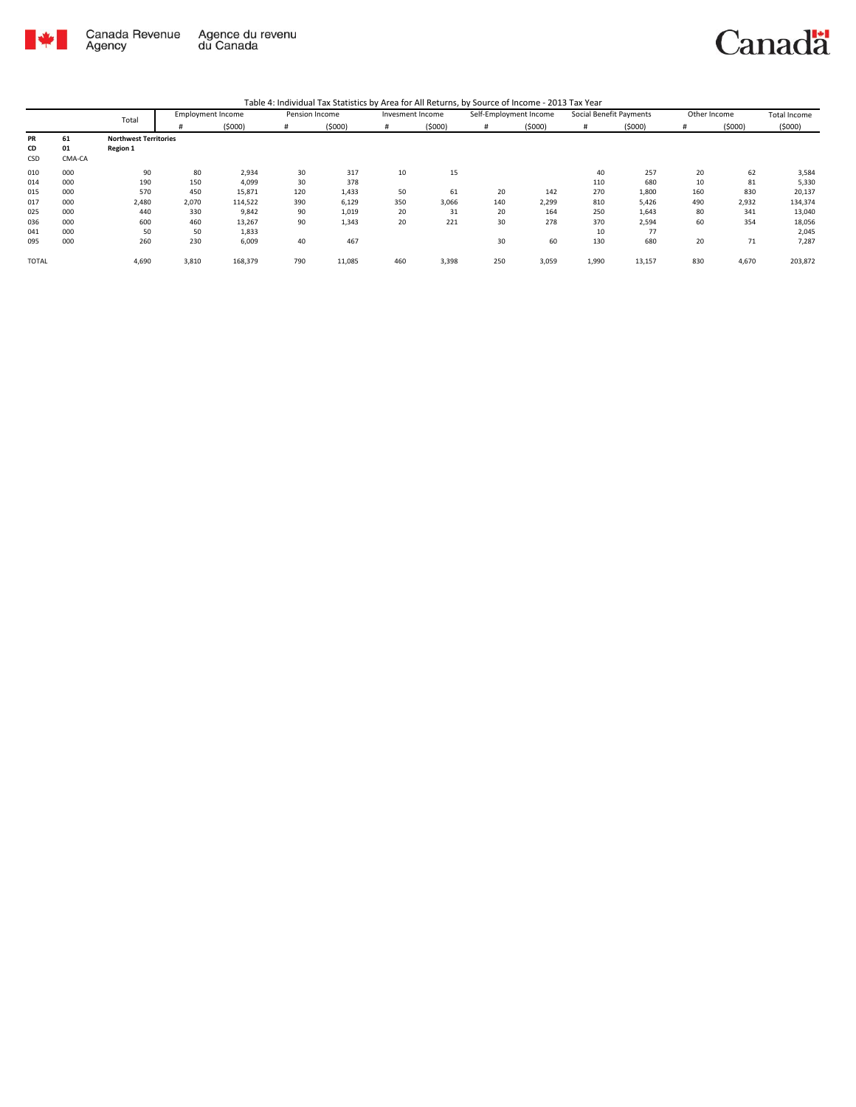

|              |        | Total                        | <b>Employment Income</b> |         | Pension Income |        | Invesment Income |        | Self-Employment Income |        | Social Benefit Payments |        | Other Income |        | <b>Total Income</b> |
|--------------|--------|------------------------------|--------------------------|---------|----------------|--------|------------------|--------|------------------------|--------|-------------------------|--------|--------------|--------|---------------------|
|              |        |                              | #                        | (5000)  | #              | (5000) | #                | (5000) | #                      | (5000) | #                       | (5000) | #            | (5000) | (5000)              |
| PR           | 61     | <b>Northwest Territories</b> |                          |         |                |        |                  |        |                        |        |                         |        |              |        |                     |
| CD           | 01     | <b>Region 1</b>              |                          |         |                |        |                  |        |                        |        |                         |        |              |        |                     |
| CSD          | CMA-CA |                              |                          |         |                |        |                  |        |                        |        |                         |        |              |        |                     |
| 010          | 000    | 90                           | 80                       | 2,934   | 30             | 317    | 10               | 15     |                        |        | 40                      | 257    | 20           | 62     | 3,584               |
| 014          | 000    | 190                          | 150                      | 4,099   | 30             | 378    |                  |        |                        |        | 110                     | 680    | 10           | 81     | 5,330               |
| 015          | 000    | 570                          | 450                      | 15,871  | 120            | 1,433  | 50               | 61     | 20                     | 142    | 270                     | 1,800  | 160          | 830    | 20,137              |
| 017          | 000    | 2,480                        | 2,070                    | 114,522 | 390            | 6,129  | 350              | 3,066  | 140                    | 2,299  | 810                     | 5,426  | 490          | 2,932  | 134,374             |
| 025          | 000    | 440                          | 330                      | 9,842   | 90             | 1,019  | 20               | 31     | 20                     | 164    | 250                     | 1,643  | 80           | 341    | 13,040              |
| 036          | 000    | 600                          | 460                      | 13,267  | 90             | 1,343  | 20               | 221    | 30                     | 278    | 370                     | 2,594  | 60           | 354    | 18,056              |
| 041          | 000    | 50                           | 50                       | 1,833   |                |        |                  |        |                        |        | 10                      | 77     |              |        | 2,045               |
| 095          | 000    | 260                          | 230                      | 6,009   | 40             | 467    |                  |        | 30                     | 60     | 130                     | 680    | 20           | 71     | 7,287               |
| <b>TOTAL</b> |        | 4,690                        | 3,810                    | 168,379 | 790            | 11,085 | 460              | 3,398  | 250                    | 3,059  | 1,990                   | 13,157 | 830          | 4,670  | 203,872             |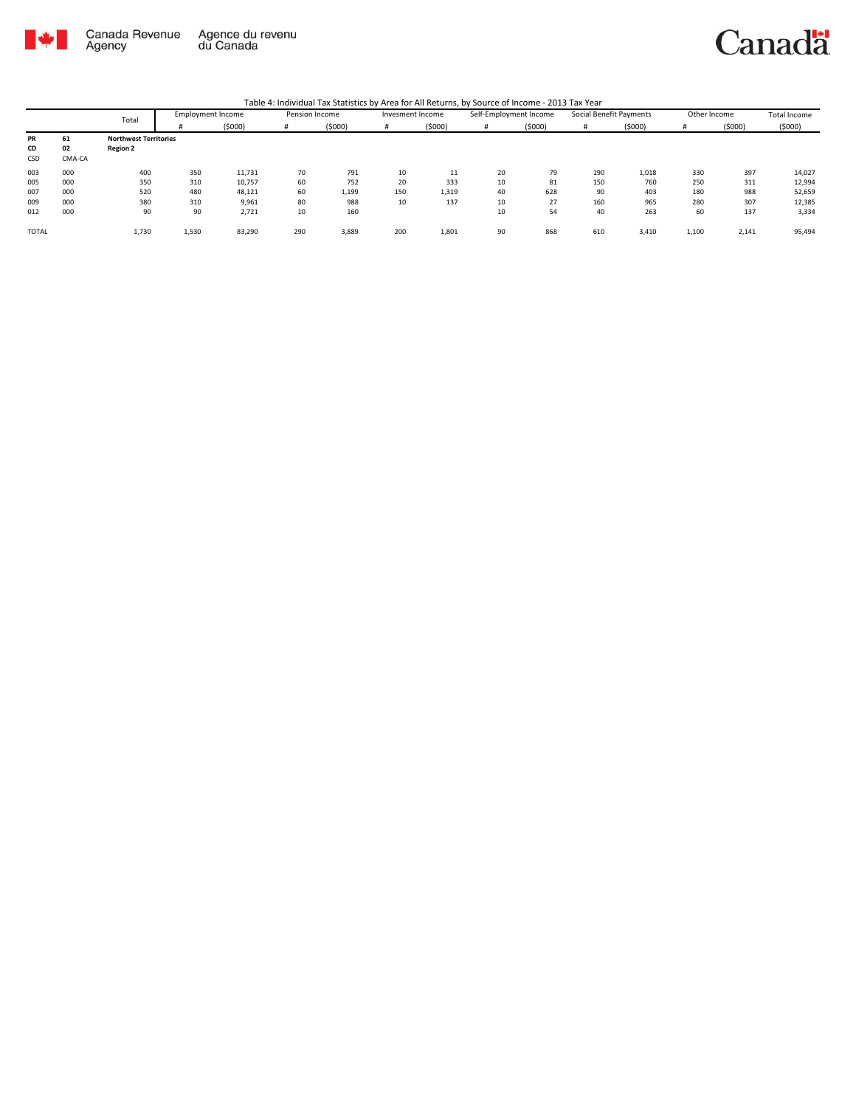

|       |        | Total                        | <b>Employment Income</b> |        | Pension Income |        | Invesment Income |        |    | Self-Employment Income | Social Benefit Payments |        | Other Income |        | Total Income |
|-------|--------|------------------------------|--------------------------|--------|----------------|--------|------------------|--------|----|------------------------|-------------------------|--------|--------------|--------|--------------|
|       |        |                              |                          | (5000) | #              | (5000) |                  | (5000) | #  | (5000)                 | #                       | (5000) | #            | (5000) | (5000)       |
| PR    | 61     | <b>Northwest Territories</b> |                          |        |                |        |                  |        |    |                        |                         |        |              |        |              |
| CD    | 02     | <b>Region 2</b>              |                          |        |                |        |                  |        |    |                        |                         |        |              |        |              |
| CSD   | CMA-CA |                              |                          |        |                |        |                  |        |    |                        |                         |        |              |        |              |
| 003   | 000    | 400                          | 350                      | 11,731 | 70             | 791    | 10               | 11     | 20 | 79                     | 190                     | 1,018  | 330          | 397    | 14,027       |
| 005   | 000    | 350                          | 310                      | 10,757 | 60             | 752    | 20               | 333    | 10 | 81                     | 150                     | 760    | 250          | 311    | 12,994       |
| 007   | 000    | 520                          | 480                      | 48,121 | 60             | 1,199  | 150              | 1,319  | 40 | 628                    | 90                      | 403    | 180          | 988    | 52,659       |
| 009   | 000    | 380                          | 310                      | 9,961  | 80             | 988    | 10               | 137    | 10 | 27                     | 160                     | 965    | 280          | 307    | 12,385       |
| 012   | 000    | 90                           | 90                       | 2,721  | 10             | 160    |                  |        | 10 | 54                     | 40                      | 263    | 60           | 137    | 3,334        |
| TOTAL |        | 1,730                        | 1,530                    | 83,290 | 290            | 3,889  | 200              | 1,801  | 90 | 868                    | 610                     | 3,410  | 1,100        | 2,141  | 95,494       |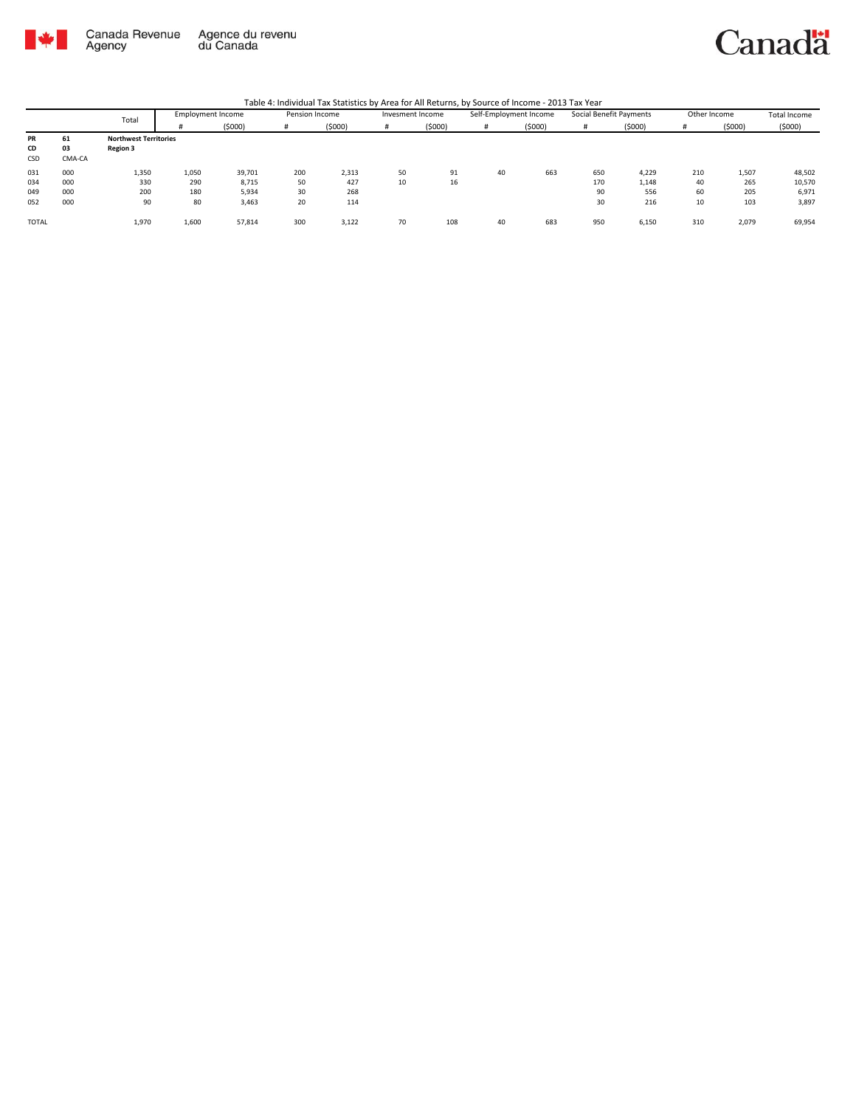

Canada Revenue<br>Agency Agence du revenu<br>du Canada Canadä

| Table 4: Individual Tax Statistics by Area for All Returns, by Source of Income - 2013 Tax Year |  |  |
|-------------------------------------------------------------------------------------------------|--|--|
|                                                                                                 |  |  |

|       |        | Total                        | <b>Employment Income</b> |        | Pension Income |        | Invesment Income |         |    | Self-Employment Income | Social Benefit Payments |        | Other Income |        | Total Income |
|-------|--------|------------------------------|--------------------------|--------|----------------|--------|------------------|---------|----|------------------------|-------------------------|--------|--------------|--------|--------------|
|       |        |                              |                          | (5000) | #              | (5000) |                  | (\$000) |    | (5000)                 |                         | (5000) |              | (5000) | (5000)       |
| PR    | 61     | <b>Northwest Territories</b> |                          |        |                |        |                  |         |    |                        |                         |        |              |        |              |
| CD    | 03     | <b>Region 3</b>              |                          |        |                |        |                  |         |    |                        |                         |        |              |        |              |
| CSD   | CMA-CA |                              |                          |        |                |        |                  |         |    |                        |                         |        |              |        |              |
| 031   | 000    | 1,350                        | 1,050                    | 39,701 | 200            | 2,313  | 50               | 91      | 40 | 663                    | 650                     | 4,229  | 210          | 1,507  | 48,502       |
| 034   | 000    | 330                          | 290                      | 8,715  | 50             | 427    | 10               | 16      |    |                        | 170                     | 1,148  | 40           | 265    | 10,570       |
| 049   | 000    | 200                          | 180                      | 5,934  | 30             | 268    |                  |         |    |                        | 90                      | 556    | 60           | 205    | 6,971        |
| 052   | 000    | 90                           | 80                       | 3,463  | 20             | 114    |                  |         |    |                        | 30                      | 216    | 10           | 103    | 3,897        |
| TOTAL |        | 1,970                        | 1,600                    | 57,814 | 300            | 3,122  | 70               | 108     | 40 | 683                    | 950                     | 6,150  | 310          | 2,079  | 69,954       |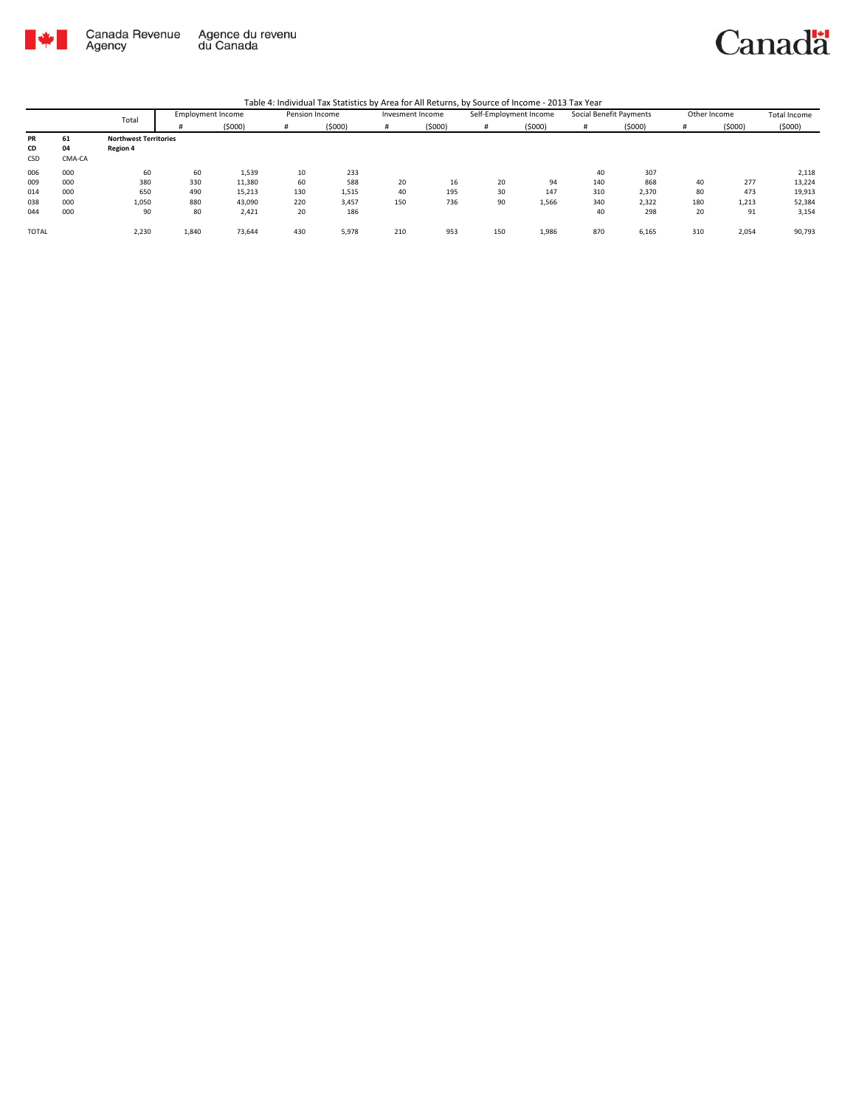

|              |        | Total                        | <b>Employment Income</b> |        | Pension Income |        | Invesment Income |        | Self-Employment Income |        | Social Benefit Payments |        | Other Income |        | Total Income |
|--------------|--------|------------------------------|--------------------------|--------|----------------|--------|------------------|--------|------------------------|--------|-------------------------|--------|--------------|--------|--------------|
|              |        |                              |                          | (5000) | #              | (5000) |                  | (5000) |                        | (5000) |                         | (5000) |              | (5000) | (5000)       |
| PR           | 61     | <b>Northwest Territories</b> |                          |        |                |        |                  |        |                        |        |                         |        |              |        |              |
| CD           | 04     | <b>Region 4</b>              |                          |        |                |        |                  |        |                        |        |                         |        |              |        |              |
| CSD          | CMA-CA |                              |                          |        |                |        |                  |        |                        |        |                         |        |              |        |              |
| 006          | 000    | 60                           | 60                       | 1,539  | 10             | 233    |                  |        |                        |        | 40                      | 307    |              |        | 2,118        |
| 009          | 000    | 380                          | 330                      | 11,380 | 60             | 588    | 20               | 16     | 20                     | 94     | 140                     | 868    | 40           | 277    | 13,224       |
| 014          | 000    | 650                          | 490                      | 15,213 | 130            | 1,515  | 40               | 195    | 30                     | 147    | 310                     | 2,370  | 80           | 473    | 19,913       |
| 038          | 000    | 1,050                        | 880                      | 43,090 | 220            | 3,457  | 150              | 736    | 90                     | 1,566  | 340                     | 2,322  | 180          | 1,213  | 52,384       |
| 044          | 000    | 90                           | 80                       | 2,421  | 20             | 186    |                  |        |                        |        | 40                      | 298    | 20           | 91     | 3,154        |
|              |        |                              |                          |        |                |        |                  |        |                        |        |                         |        |              |        |              |
| <b>TOTAL</b> |        | 2,230                        | 1,840                    | 73,644 | 430            | 5,978  | 210              | 953    | 150                    | 1,986  | 870                     | 6,165  | 310          | 2,054  | 90,793       |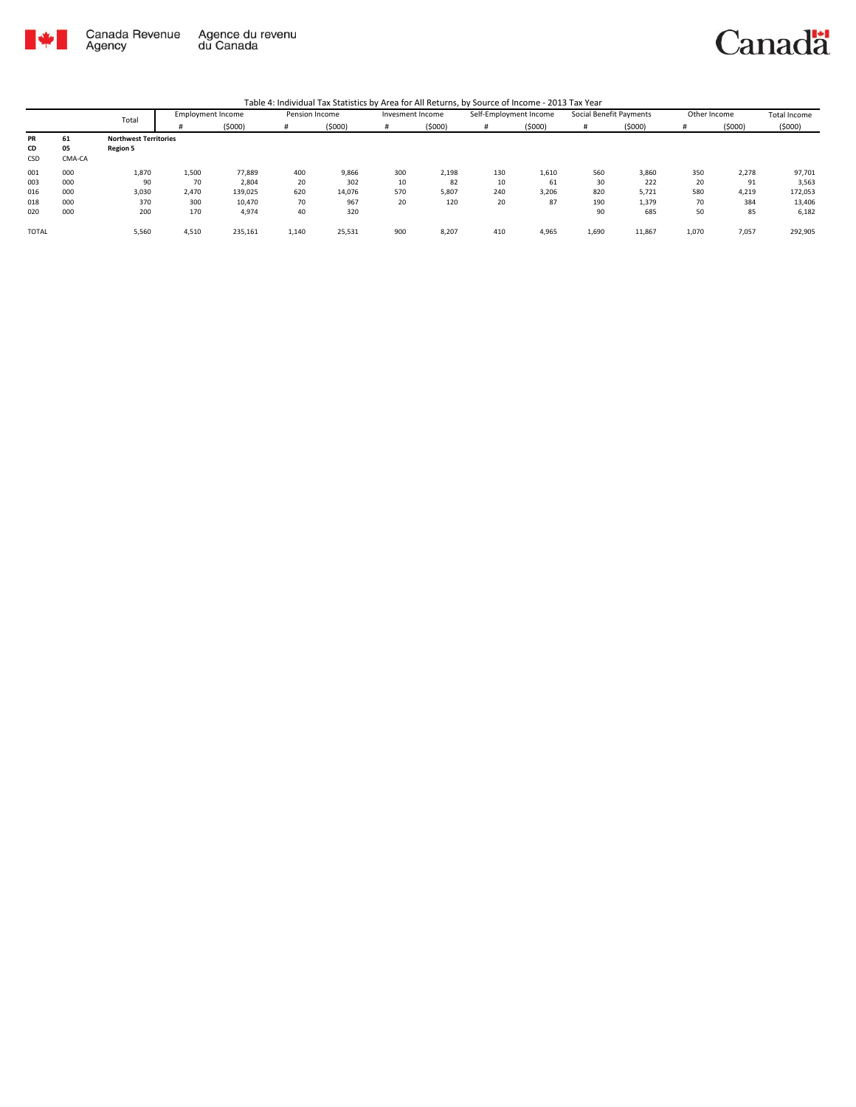

|              |        | Total                        | <b>Employment Income</b> |         | Pension Income |        | Invesment Income |         | Self-Employment Income |        | Social Benefit Payments |        | Other Income |        | Total Income |
|--------------|--------|------------------------------|--------------------------|---------|----------------|--------|------------------|---------|------------------------|--------|-------------------------|--------|--------------|--------|--------------|
|              |        |                              |                          | (5000)  | #              | (5000) |                  | (\$000) | #                      | (5000) |                         | (5000) | #            | (5000) | (5000)       |
| <b>PR</b>    | 61     | <b>Northwest Territories</b> |                          |         |                |        |                  |         |                        |        |                         |        |              |        |              |
| CD           | 05     | <b>Region 5</b>              |                          |         |                |        |                  |         |                        |        |                         |        |              |        |              |
| CSD          | CMA-CA |                              |                          |         |                |        |                  |         |                        |        |                         |        |              |        |              |
| 001          | 000    | 1,870                        | 1,500                    | 77,889  | 400            | 9,866  | 300              | 2,198   | 130                    | 1,610  | 560                     | 3,860  | 350          | 2,278  | 97,701       |
| 003          | 000    | 90                           | 70                       | 2,804   | 20             | 302    | 10               | 82      | 10                     | 61     | 30                      | 222    | 20           | 91     | 3,563        |
| 016          | 000    | 3,030                        | 2,470                    | 139,025 | 620            | 14,076 | 570              | 5,807   | 240                    | 3,206  | 820                     | 5,721  | 580          | 4,219  | 172,053      |
| 018          | 000    | 370                          | 300                      | 10,470  | 70             | 967    | 20               | 120     | 20                     | 87     | 190                     | 1,379  | 70           | 384    | 13,406       |
| 020          | 000    | 200                          | 170                      | 4,974   | 40             | 320    |                  |         |                        |        | 90                      | 685    | 50           | 85     | 6,182        |
| <b>TOTAL</b> |        | 5,560                        | 4,510                    | 235,161 | 1,140          | 25,531 | 900              | 8,207   | 410                    | 4,965  | 1,690                   | 11,867 | 1,070        | 7,057  | 292,905      |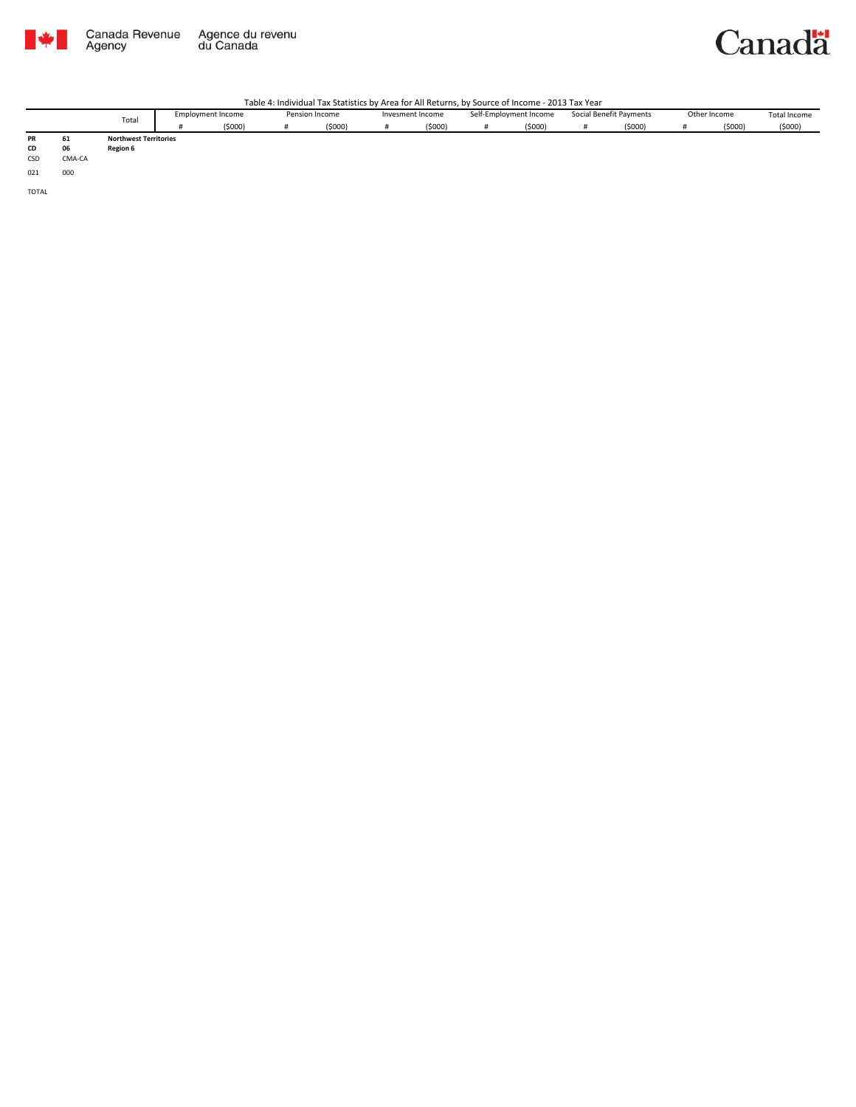

## Canadä

Table 4: Individual Tax Statistics by Area for All Returns, by Source of Income - 2013 Tax Year

|    |       |                              | <b>Employment Income</b> | Pension Income | Invesment Income | Self-Employment Income | Social Benefit Payments | Other Income | Total Income |
|----|-------|------------------------------|--------------------------|----------------|------------------|------------------------|-------------------------|--------------|--------------|
|    | Total |                              | (\$000)                  | (\$000)        | (\$000)          | (5000)                 | (\$000)                 | (5000)       | (5000)       |
| PR | 61    | <b>Northwest Territories</b> |                          |                |                  |                        |                         |              |              |
| CD | 06    | Region 6                     |                          |                |                  |                        |                         |              |              |

CSD CMA-CA 021 000

TOTAL